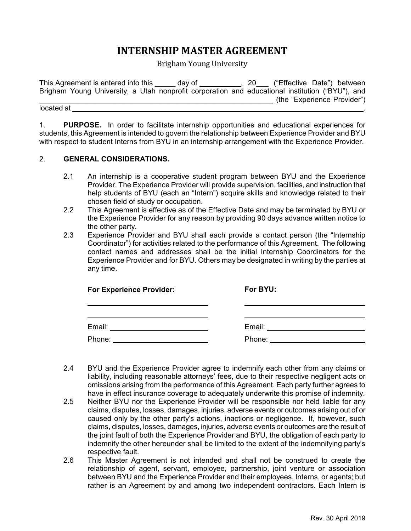# **INTERNSHIP MASTER AGREEMENT**

Brigham Young University

| This Agreement is entered into this | day of<br>$\sim 20$ | ("Effective Date") between                                                                      |
|-------------------------------------|---------------------|-------------------------------------------------------------------------------------------------|
|                                     |                     | Brigham Young University, a Utah nonprofit corporation and educational institution ("BYU"), and |
|                                     |                     | (the "Experience Provider")                                                                     |
| located at                          |                     |                                                                                                 |

1. **PURPOSE.** In order to facilitate internship opportunities and educational experiences for students, this Agreement is intended to govern the relationship between Experience Provider and BYU with respect to student Interns from BYU in an internship arrangement with the Experience Provider.

## 2. **GENERAL CONSIDERATIONS.**

- 2.1 An internship is a cooperative student program between BYU and the Experience Provider. The Experience Provider will provide supervision, facilities, and instruction that help students of BYU (each an "Intern") acquire skills and knowledge related to their chosen field of study or occupation.
- 2.2 This Agreement is effective as of the Effective Date and may be terminated by BYU or the Experience Provider for any reason by providing 90 days advance written notice to the other party.
- 2.3 Experience Provider and BYU shall each provide a contact person (the "Internship Coordinator") for activities related to the performance of this Agreement. The following contact names and addresses shall be the initial Internship Coordinators for the Experience Provider and for BYU. Others may be designated in writing by the parties at any time.

| <b>For Experience Provider:</b> | For BYU: |
|---------------------------------|----------|
|                                 |          |
| Email:                          | Email:   |
| Phone:                          | Phone:   |

- 2.4 BYU and the Experience Provider agree to indemnify each other from any claims or liability, including reasonable attorneys' fees, due to their respective negligent acts or omissions arising from the performance of this Agreement. Each party further agrees to have in effect insurance coverage to adequately underwrite this promise of indemnity.
- 2.5 Neither BYU nor the Experience Provider will be responsible nor held liable for any claims, disputes, losses, damages, injuries, adverse events or outcomes arising out of or caused only by the other party's actions, inactions or negligence. If, however, such claims, disputes, losses, damages, injuries, adverse events or outcomes are the result of the joint fault of both the Experience Provider and BYU, the obligation of each party to indemnify the other hereunder shall be limited to the extent of the indemnifying party's respective fault.
- 2.6 This Master Agreement is not intended and shall not be construed to create the relationship of agent, servant, employee, partnership, joint venture or association between BYU and the Experience Provider and their employees, Interns, or agents; but rather is an Agreement by and among two independent contractors. Each Intern is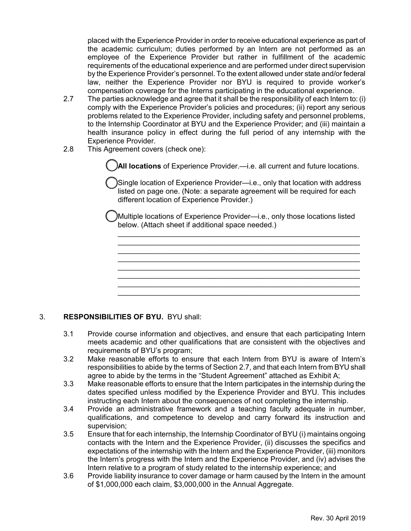placed with the Experience Provider in order to receive educational experience as part of the academic curriculum; duties performed by an Intern are not performed as an employee of the Experience Provider but rather in fulfillment of the academic requirements of the educational experience and are performed under direct supervision by the Experience Provider's personnel. To the extent allowed under state and/or federal law, neither the Experience Provider nor BYU is required to provide worker's compensation coverage for the Interns participating in the educational experience.

- 2.7 The parties acknowledge and agree that it shall be the responsibility of each Intern to: (i) comply with the Experience Provider's policies and procedures; (ii) report any serious problems related to the Experience Provider, including safety and personnel problems, to the Internship Coordinator at BYU and the Experience Provider; and (iii) maintain a health insurance policy in effect during the full period of any internship with the Experience Provider.
- 2.8 This Agreement covers (check one):

**All locations** of Experience Provider.—i.e. all current and future locations.

Single location of Experience Provider—i.e., only that location with address listed on page one. (Note: a separate agreement will be required for each different location of Experience Provider.)

Multiple locations of Experience Provider—i.e., only those locations listed below. (Attach sheet if additional space needed.)

\_\_\_\_\_\_\_\_\_\_\_\_\_\_\_\_\_\_\_\_\_\_\_\_\_\_\_\_\_\_\_\_\_\_\_\_\_\_\_\_\_\_\_\_\_\_\_\_\_\_\_\_\_\_\_\_\_\_\_  $\mathcal{L}_\text{max}$  and  $\mathcal{L}_\text{max}$  and  $\mathcal{L}_\text{max}$  and  $\mathcal{L}_\text{max}$  and  $\mathcal{L}_\text{max}$  $\mathcal{L}_\text{max}$  and  $\mathcal{L}_\text{max}$  and  $\mathcal{L}_\text{max}$  and  $\mathcal{L}_\text{max}$  and  $\mathcal{L}_\text{max}$ \_\_\_\_\_\_\_\_\_\_\_\_\_\_\_\_\_\_\_\_\_\_\_\_\_\_\_\_\_\_\_\_\_\_\_\_\_\_\_\_\_\_\_\_\_\_\_\_\_\_\_\_\_\_\_\_\_\_\_  $\mathcal{L}_\text{max}$  and  $\mathcal{L}_\text{max}$  and  $\mathcal{L}_\text{max}$  and  $\mathcal{L}_\text{max}$  and  $\mathcal{L}_\text{max}$  $\mathcal{L}_\text{max}$  and  $\mathcal{L}_\text{max}$  and  $\mathcal{L}_\text{max}$  and  $\mathcal{L}_\text{max}$  and  $\mathcal{L}_\text{max}$  $\frac{1}{2}$  ,  $\frac{1}{2}$  ,  $\frac{1}{2}$  ,  $\frac{1}{2}$  ,  $\frac{1}{2}$  ,  $\frac{1}{2}$  ,  $\frac{1}{2}$  ,  $\frac{1}{2}$  ,  $\frac{1}{2}$  ,  $\frac{1}{2}$  ,  $\frac{1}{2}$  ,  $\frac{1}{2}$  ,  $\frac{1}{2}$  ,  $\frac{1}{2}$  ,  $\frac{1}{2}$  ,  $\frac{1}{2}$  ,  $\frac{1}{2}$  ,  $\frac{1}{2}$  ,  $\frac{1$ \_\_\_\_\_\_\_\_\_\_\_\_\_\_\_\_\_\_\_\_\_\_\_\_\_\_\_\_\_\_\_\_\_\_\_\_\_\_\_\_\_\_\_\_\_\_\_\_\_\_\_\_\_\_\_\_\_\_\_

### 3. **RESPONSIBILITIES OF BYU.** BYU shall:

- 3.1 Provide course information and objectives, and ensure that each participating Intern meets academic and other qualifications that are consistent with the objectives and requirements of BYU's program;
- 3.2 Make reasonable efforts to ensure that each Intern from BYU is aware of Intern's responsibilities to abide by the terms of Section 2.7, and that each Intern from BYU shall agree to abide by the terms in the "Student Agreement" attached as Exhibit A;
- 3.3 Make reasonable efforts to ensure that the Intern participates in the internship during the dates specified unless modified by the Experience Provider and BYU. This includes instructing each Intern about the consequences of not completing the internship.
- 3.4 Provide an administrative framework and a teaching faculty adequate in number, qualifications, and competence to develop and carry forward its instruction and supervision;
- 3.5 Ensure that for each internship, the Internship Coordinator of BYU (i) maintains ongoing contacts with the Intern and the Experience Provider, (ii) discusses the specifics and expectations of the internship with the Intern and the Experience Provider, (iii) monitors the Intern's progress with the Intern and the Experience Provider, and (iv) advises the Intern relative to a program of study related to the internship experience; and
- 3.6 Provide liability insurance to cover damage or harm caused by the Intern in the amount of \$1,000,000 each claim, \$3,000,000 in the Annual Aggregate.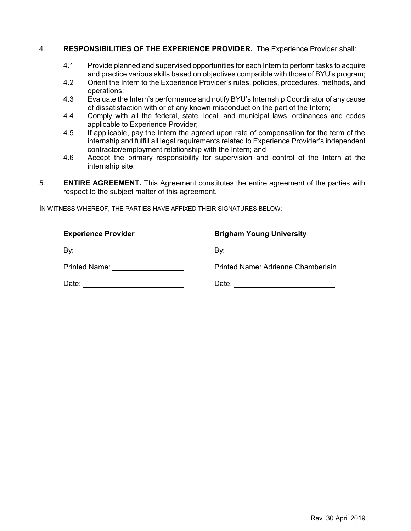#### 4. **RESPONSIBILITIES OF THE EXPERIENCE PROVIDER.** The Experience Provider shall:

- 4.1 Provide planned and supervised opportunities for each Intern to perform tasks to acquire and practice various skills based on objectives compatible with those of BYU's program;
- 4.2 Orient the Intern to the Experience Provider's rules, policies, procedures, methods, and operations;
- 4.3 Evaluate the Intern's performance and notify BYU's Internship Coordinator of any cause of dissatisfaction with or of any known misconduct on the part of the Intern;
- 4.4 Comply with all the federal, state, local, and municipal laws, ordinances and codes applicable to Experience Provider;
- 4.5 If applicable, pay the Intern the agreed upon rate of compensation for the term of the internship and fulfill all legal requirements related to Experience Provider's independent contractor/employment relationship with the Intern; and
- 4.6 Accept the primary responsibility for supervision and control of the Intern at the internship site.
- 5. **ENTIRE AGREEMENT.** This Agreement constitutes the entire agreement of the parties with respect to the subject matter of this agreement.

IN WITNESS WHEREOF, THE PARTIES HAVE AFFIXED THEIR SIGNATURES BELOW:

| <b>Experience Provider</b>    | <b>Brigham Young University</b>    |
|-------------------------------|------------------------------------|
| Bv:                           |                                    |
| Printed Name: _______________ | Printed Name: Adrienne Chamberlain |
| Date:                         | Date:                              |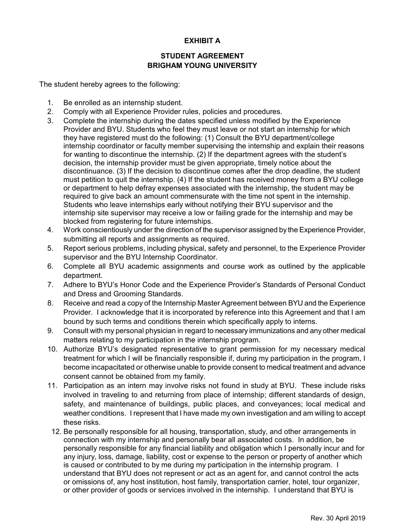## **EXHIBIT A**

## **STUDENT AGREEMENT BRIGHAM YOUNG UNIVERSITY**

The student hereby agrees to the following:

- 1. Be enrolled as an internship student.
- 2. Comply with all Experience Provider rules, policies and procedures.
- 3. Complete the internship during the dates specified unless modified by the Experience Provider and BYU. Students who feel they must leave or not start an internship for which they have registered must do the following: (1) Consult the BYU department/college internship coordinator or faculty member supervising the internship and explain their reasons for wanting to discontinue the internship. (2) If the department agrees with the student's decision, the internship provider must be given appropriate, timely notice about the discontinuance. (3) If the decision to discontinue comes after the drop deadline, the student must petition to quit the internship. (4) If the student has received money from a BYU college or department to help defray expenses associated with the internship, the student may be required to give back an amount commensurate with the time not spent in the internship. Students who leave internships early without notifying their BYU supervisor and the internship site supervisor may receive a low or failing grade for the internship and may be blocked from registering for future internships.
- 4. Work conscientiously under the direction of the supervisor assigned by the Experience Provider, submitting all reports and assignments as required.
- 5. Report serious problems, including physical, safety and personnel, to the Experience Provider supervisor and the BYU Internship Coordinator.
- 6. Complete all BYU academic assignments and course work as outlined by the applicable department.
- 7. Adhere to BYU's Honor Code and the Experience Provider's Standards of Personal Conduct and Dress and Grooming Standards.
- 8. Receive and read a copy of the Internship Master Agreement between BYU and the Experience Provider. I acknowledge that it is incorporated by reference into this Agreement and that I am bound by such terms and conditions therein which specifically apply to interns.
- 9. Consult with my personal physician in regard to necessary immunizations and any other medical matters relating to my participation in the internship program.
- 10. Authorize BYU's designated representative to grant permission for my necessary medical treatment for which I will be financially responsible if, during my participation in the program, I become incapacitated or otherwise unable to provide consent to medical treatment and advance consent cannot be obtained from my family.
- 11. Participation as an intern may involve risks not found in study at BYU. These include risks involved in traveling to and returning from place of internship; different standards of design, safety, and maintenance of buildings, public places, and conveyances; local medical and weather conditions. I represent that I have made my own investigation and am willing to accept these risks.
- 12. Be personally responsible for all housing, transportation, study, and other arrangements in connection with my internship and personally bear all associated costs. In addition, be personally responsible for any financial liability and obligation which I personally incur and for any injury, loss, damage, liability, cost or expense to the person or property of another which is caused or contributed to by me during my participation in the internship program. I understand that BYU does not represent or act as an agent for, and cannot control the acts or omissions of, any host institution, host family, transportation carrier, hotel, tour organizer, or other provider of goods or services involved in the internship. I understand that BYU is